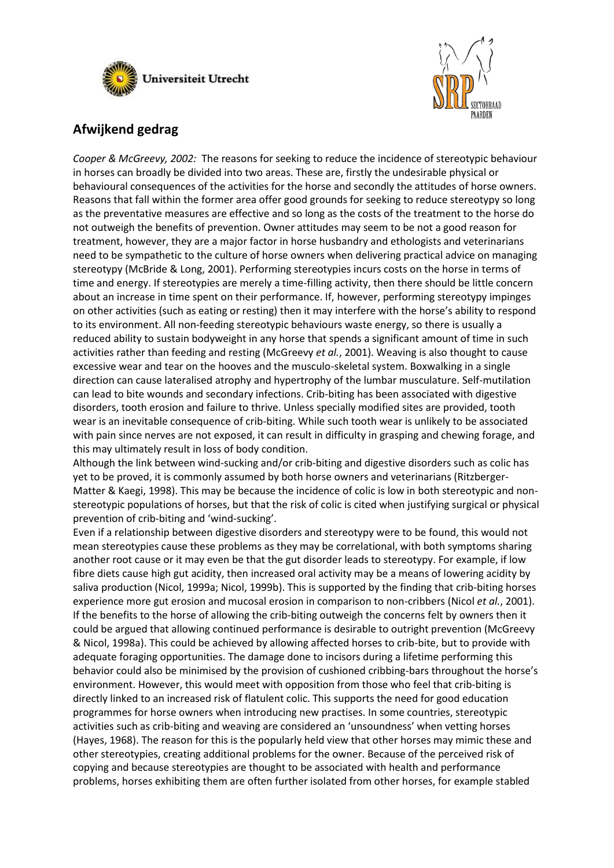



# **Afwijkend gedrag**

*Cooper & McGreevy, 2002:* The reasons for seeking to reduce the incidence of stereotypic behaviour in horses can broadly be divided into two areas. These are, firstly the undesirable physical or behavioural consequences of the activities for the horse and secondly the attitudes of horse owners. Reasons that fall within the former area offer good grounds for seeking to reduce stereotypy so long as the preventative measures are effective and so long as the costs of the treatment to the horse do not outweigh the benefits of prevention. Owner attitudes may seem to be not a good reason for treatment, however, they are a major factor in horse husbandry and ethologists and veterinarians need to be sympathetic to the culture of horse owners when delivering practical advice on managing stereotypy (McBride & Long, 2001). Performing stereotypies incurs costs on the horse in terms of time and energy. If stereotypies are merely a time-filling activity, then there should be little concern about an increase in time spent on their performance. If, however, performing stereotypy impinges on other activities (such as eating or resting) then it may interfere with the horse's ability to respond to its environment. All non-feeding stereotypic behaviours waste energy, so there is usually a reduced ability to sustain bodyweight in any horse that spends a significant amount of time in such activities rather than feeding and resting (McGreevy *et al.*, 2001). Weaving is also thought to cause excessive wear and tear on the hooves and the musculo-skeletal system. Boxwalking in a single direction can cause lateralised atrophy and hypertrophy of the lumbar musculature. Self-mutilation can lead to bite wounds and secondary infections. Crib-biting has been associated with digestive disorders, tooth erosion and failure to thrive. Unless specially modified sites are provided, tooth wear is an inevitable consequence of crib-biting. While such tooth wear is unlikely to be associated with pain since nerves are not exposed, it can result in difficulty in grasping and chewing forage, and this may ultimately result in loss of body condition.

Although the link between wind-sucking and/or crib-biting and digestive disorders such as colic has yet to be proved, it is commonly assumed by both horse owners and veterinarians (Ritzberger-Matter & Kaegi, 1998). This may be because the incidence of colic is low in both stereotypic and nonstereotypic populations of horses, but that the risk of colic is cited when justifying surgical or physical prevention of crib-biting and 'wind-sucking'.

Even if a relationship between digestive disorders and stereotypy were to be found, this would not mean stereotypies cause these problems as they may be correlational, with both symptoms sharing another root cause or it may even be that the gut disorder leads to stereotypy. For example, if low fibre diets cause high gut acidity, then increased oral activity may be a means of lowering acidity by saliva production (Nicol, 1999a; Nicol, 1999b). This is supported by the finding that crib-biting horses experience more gut erosion and mucosal erosion in comparison to non-cribbers (Nicol *et al.*, 2001). If the benefits to the horse of allowing the crib-biting outweigh the concerns felt by owners then it could be argued that allowing continued performance is desirable to outright prevention (McGreevy & Nicol, 1998a). This could be achieved by allowing affected horses to crib-bite, but to provide with adequate foraging opportunities. The damage done to incisors during a lifetime performing this behavior could also be minimised by the provision of cushioned cribbing-bars throughout the horse's environment. However, this would meet with opposition from those who feel that crib-biting is directly linked to an increased risk of flatulent colic. This supports the need for good education programmes for horse owners when introducing new practises. In some countries, stereotypic activities such as crib-biting and weaving are considered an 'unsoundness' when vetting horses (Hayes, 1968). The reason for this is the popularly held view that other horses may mimic these and other stereotypies, creating additional problems for the owner. Because of the perceived risk of copying and because stereotypies are thought to be associated with health and performance problems, horses exhibiting them are often further isolated from other horses, for example stabled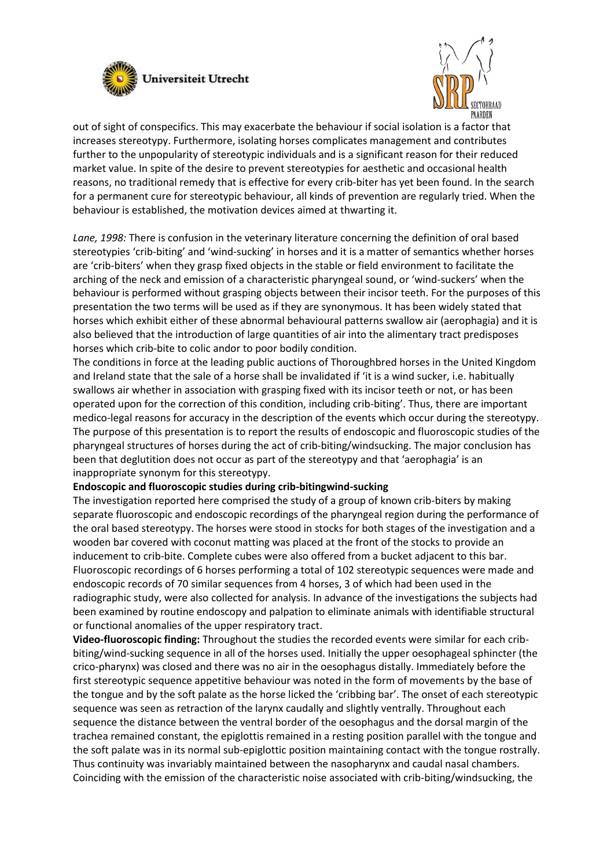



out of sight of conspecifics. This may exacerbate the behaviour if social isolation is a factor that increases stereotypy. Furthermore, isolating horses complicates management and contributes further to the unpopularity of stereotypic individuals and is a significant reason for their reduced market value. In spite of the desire to prevent stereotypies for aesthetic and occasional health reasons, no traditional remedy that is effective for every crib-biter has yet been found. In the search for a permanent cure for stereotypic behaviour, all kinds of prevention are regularly tried. When the behaviour is established, the motivation devices aimed at thwarting it.

*Lane, 1998:* There is confusion in the veterinary literature concerning the definition of oral based stereotypies 'crib-biting' and 'wind-sucking' in horses and it is a matter of semantics whether horses are 'crib-biters' when they grasp fixed objects in the stable or field environment to facilitate the arching of the neck and emission of a characteristic pharyngeal sound, or 'wind-suckers' when the behaviour is performed without grasping objects between their incisor teeth. For the purposes of this presentation the two terms will be used as if they are synonymous. It has been widely stated that horses which exhibit either of these abnormal behavioural patterns swallow air (aerophagia) and it is also believed that the introduction of large quantities of air into the alimentary tract predisposes horses which crib-bite to colic andor to poor bodily condition.

The conditions in force at the leading public auctions of Thoroughbred horses in the United Kingdom and Ireland state that the sale of a horse shall be invalidated if 'it is a wind sucker, i.e. habitually swallows air whether in association with grasping fixed with its incisor teeth or not, or has been operated upon for the correction of this condition, including crib-biting'. Thus, there are important medico-legal reasons for accuracy in the description of the events which occur during the stereotypy. The purpose of this presentation is to report the results of endoscopic and fluoroscopic studies of the pharyngeal structures of horses during the act of crib-biting/windsucking. The major conclusion has been that deglutition does not occur as part of the stereotypy and that 'aerophagia' is an inappropriate synonym for this stereotypy.

## **Endoscopic and fluoroscopic studies during crib-bitingwind-sucking**

The investigation reported here comprised the study of a group of known crib-biters by making separate fluoroscopic and endoscopic recordings of the pharyngeal region during the performance of the oral based stereotypy. The horses were stood in stocks for both stages of the investigation and a wooden bar covered with coconut matting was placed at the front of the stocks to provide an inducement to crib-bite. Complete cubes were also offered from a bucket adjacent to this bar. Fluoroscopic recordings of 6 horses performing a total of 102 stereotypic sequences were made and endoscopic records of 70 similar sequences from 4 horses, 3 of which had been used in the radiographic study, were also collected for analysis. In advance of the investigations the subjects had been examined by routine endoscopy and palpation to eliminate animals with identifiable structural or functional anomalies of the upper respiratory tract.

**Video-fluoroscopic finding:** Throughout the studies the recorded events were similar for each cribbiting/wind-sucking sequence in all of the horses used. Initially the upper oesophageal sphincter (the crico-pharynx) was closed and there was no air in the oesophagus distally. Immediately before the first stereotypic sequence appetitive behaviour was noted in the form of movements by the base of the tongue and by the soft palate as the horse licked the 'cribbing bar'. The onset of each stereotypic sequence was seen as retraction of the larynx caudally and slightly ventrally. Throughout each sequence the distance between the ventral border of the oesophagus and the dorsal margin of the trachea remained constant, the epiglottis remained in a resting position parallel with the tongue and the soft palate was in its normal sub-epiglottic position maintaining contact with the tongue rostrally. Thus continuity was invariably maintained between the nasopharynx and caudal nasal chambers. Coinciding with the emission of the characteristic noise associated with crib-biting/windsucking, the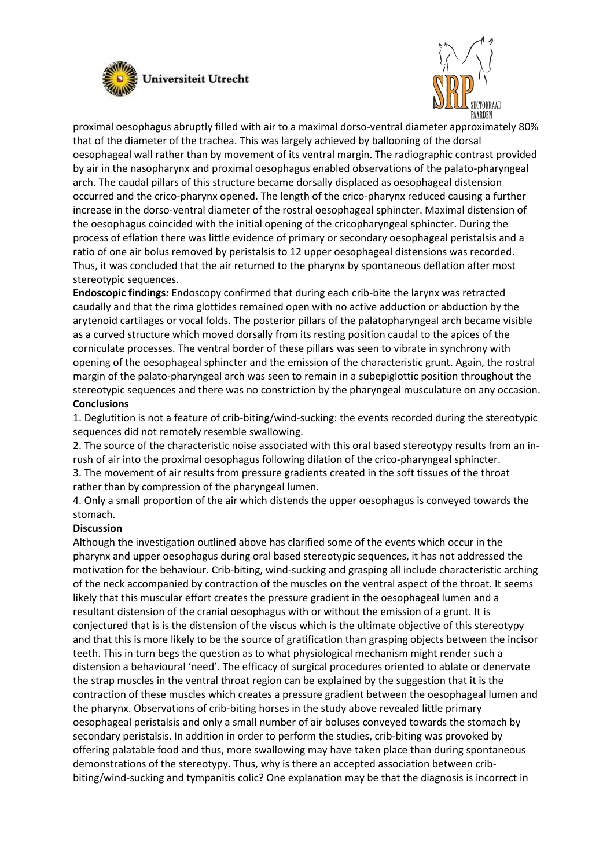



proximal oesophagus abruptly filled with air to a maximal dorso-ventral diameter approximately 80% that of the diameter of the trachea. This was largely achieved by ballooning of the dorsal oesophageal wall rather than by movement of its ventral margin. The radiographic contrast provided by air in the nasopharynx and proximal oesophagus enabled observations of the palato-pharyngeal arch. The caudal pillars of this structure became dorsally displaced as oesophageal distension occurred and the crico-pharynx opened. The length of the crico-pharynx reduced causing a further increase in the dorso-ventral diameter of the rostral oesophageal sphincter. Maximal distension of the oesophagus coincided with the initial opening of the cricopharyngeal sphincter. During the process of eflation there was little evidence of primary or secondary oesophageal peristalsis and a ratio of one air bolus removed by peristalsis to 12 upper oesophageal distensions was recorded. Thus, it was concluded that the air returned to the pharynx by spontaneous deflation after most stereotypic sequences.

**Endoscopic findings:** Endoscopy confirmed that during each crib-bite the larynx was retracted caudally and that the rima glottides remained open with no active adduction or abduction by the arytenoid cartilages or vocal folds. The posterior pillars of the palatopharyngeal arch became visible as a curved structure which moved dorsally from its resting position caudal to the apices of the corniculate processes. The ventral border of these pillars was seen to vibrate in synchrony with opening of the oesophageal sphincter and the emission of the characteristic grunt. Again, the rostral margin of the palato-pharyngeal arch was seen to remain in a subepiglottic position throughout the stereotypic sequences and there was no constriction by the pharyngeal musculature on any occasion. **Conclusions**

1. Deglutition is not a feature of crib-biting/wind-sucking: the events recorded during the stereotypic sequences did not remotely resemble swallowing.

2. The source of the characteristic noise associated with this oral based stereotypy results from an inrush of air into the proximal oesophagus following dilation of the crico-pharyngeal sphincter.

3. The movement of air results from pressure gradients created in the soft tissues of the throat rather than by compression of the pharyngeal lumen.

4. Only a small proportion of the air which distends the upper oesophagus is conveyed towards the stomach.

## **Discussion**

Although the investigation outlined above has clarified some of the events which occur in the pharynx and upper oesophagus during oral based stereotypic sequences, it has not addressed the motivation for the behaviour. Crib-biting, wind-sucking and grasping all include characteristic arching of the neck accompanied by contraction of the muscles on the ventral aspect of the throat. It seems likely that this muscular effort creates the pressure gradient in the oesophageal lumen and a resultant distension of the cranial oesophagus with or without the emission of a grunt. It is conjectured that is is the distension of the viscus which is the ultimate objective of this stereotypy and that this is more likely to be the source of gratification than grasping objects between the incisor teeth. This in turn begs the question as to what physiological mechanism might render such a distension a behavioural 'need'. The efficacy of surgical procedures oriented to ablate or denervate the strap muscles in the ventral throat region can be explained by the suggestion that it is the contraction of these muscles which creates a pressure gradient between the oesophageal lumen and the pharynx. Observations of crib-biting horses in the study above revealed little primary oesophageal peristalsis and only a small number of air boluses conveyed towards the stomach by secondary peristalsis. In addition in order to perform the studies, crib-biting was provoked by offering palatable food and thus, more swallowing may have taken place than during spontaneous demonstrations of the stereotypy. Thus, why is there an accepted association between cribbiting/wind-sucking and tympanitis colic? One explanation may be that the diagnosis is incorrect in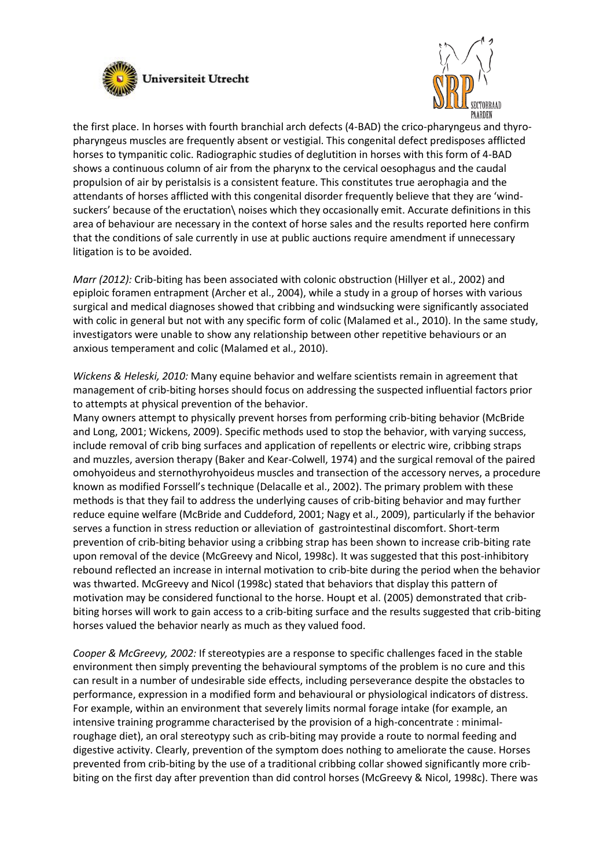



the first place. In horses with fourth branchial arch defects (4-BAD) the crico-pharyngeus and thyropharyngeus muscles are frequently absent or vestigial. This congenital defect predisposes afflicted horses to tympanitic colic. Radiographic studies of deglutition in horses with this form of 4-BAD shows a continuous column of air from the pharynx to the cervical oesophagus and the caudal propulsion of air by peristalsis is a consistent feature. This constitutes true aerophagia and the attendants of horses afflicted with this congenital disorder frequently believe that they are 'windsuckers' because of the eructation\ noises which they occasionally emit. Accurate definitions in this area of behaviour are necessary in the context of horse sales and the results reported here confirm that the conditions of sale currently in use at public auctions require amendment if unnecessary litigation is to be avoided.

*Marr (2012):* Crib-biting has been associated with colonic obstruction (Hillyer et al., 2002) and epiploic foramen entrapment (Archer et al., 2004), while a study in a group of horses with various surgical and medical diagnoses showed that cribbing and windsucking were significantly associated with colic in general but not with any specific form of colic (Malamed et al., 2010). In the same study, investigators were unable to show any relationship between other repetitive behaviours or an anxious temperament and colic (Malamed et al., 2010).

*Wickens & Heleski, 2010:* Many equine behavior and welfare scientists remain in agreement that management of crib-biting horses should focus on addressing the suspected influential factors prior to attempts at physical prevention of the behavior.

Many owners attempt to physically prevent horses from performing crib-biting behavior (McBride and Long, 2001; Wickens, 2009). Specific methods used to stop the behavior, with varying success, include removal of crib bing surfaces and application of repellents or electric wire, cribbing straps and muzzles, aversion therapy (Baker and Kear-Colwell, 1974) and the surgical removal of the paired omohyoideus and sternothyrohyoideus muscles and transection of the accessory nerves, a procedure known as modified Forssell's technique (Delacalle et al., 2002). The primary problem with these methods is that they fail to address the underlying causes of crib-biting behavior and may further reduce equine welfare (McBride and Cuddeford, 2001; Nagy et al., 2009), particularly if the behavior serves a function in stress reduction or alleviation of gastrointestinal discomfort. Short-term prevention of crib-biting behavior using a cribbing strap has been shown to increase crib-biting rate upon removal of the device (McGreevy and Nicol, 1998c). It was suggested that this post-inhibitory rebound reflected an increase in internal motivation to crib-bite during the period when the behavior was thwarted. McGreevy and Nicol (1998c) stated that behaviors that display this pattern of motivation may be considered functional to the horse. Houpt et al. (2005) demonstrated that cribbiting horses will work to gain access to a crib-biting surface and the results suggested that crib-biting horses valued the behavior nearly as much as they valued food.

*Cooper & McGreevy, 2002:* If stereotypies are a response to specific challenges faced in the stable environment then simply preventing the behavioural symptoms of the problem is no cure and this can result in a number of undesirable side effects, including perseverance despite the obstacles to performance, expression in a modified form and behavioural or physiological indicators of distress. For example, within an environment that severely limits normal forage intake (for example, an intensive training programme characterised by the provision of a high-concentrate : minimalroughage diet), an oral stereotypy such as crib-biting may provide a route to normal feeding and digestive activity. Clearly, prevention of the symptom does nothing to ameliorate the cause. Horses prevented from crib-biting by the use of a traditional cribbing collar showed significantly more cribbiting on the first day after prevention than did control horses (McGreevy & Nicol, 1998c). There was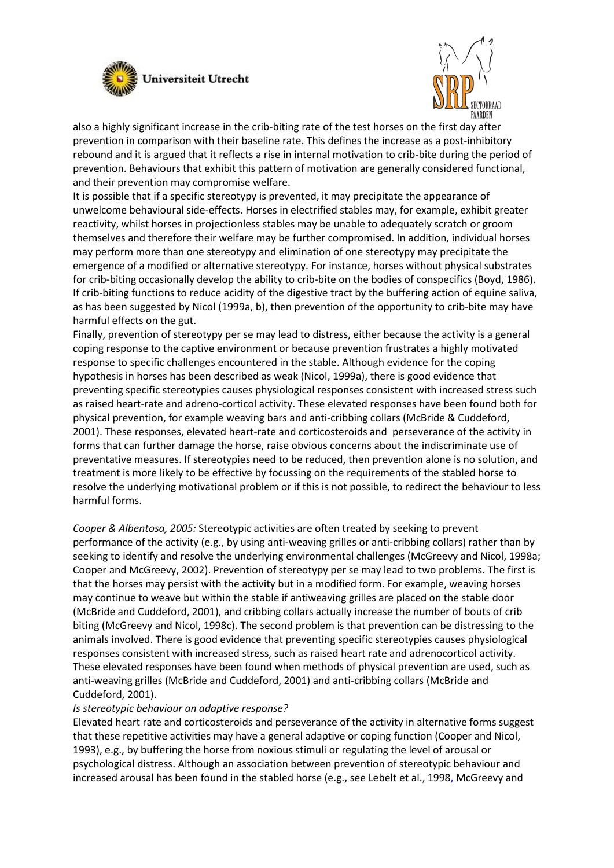



also a highly significant increase in the crib-biting rate of the test horses on the first day after prevention in comparison with their baseline rate. This defines the increase as a post-inhibitory rebound and it is argued that it reflects a rise in internal motivation to crib-bite during the period of prevention. Behaviours that exhibit this pattern of motivation are generally considered functional, and their prevention may compromise welfare.

It is possible that if a specific stereotypy is prevented, it may precipitate the appearance of unwelcome behavioural side-effects. Horses in electrified stables may, for example, exhibit greater reactivity, whilst horses in projectionless stables may be unable to adequately scratch or groom themselves and therefore their welfare may be further compromised. In addition, individual horses may perform more than one stereotypy and elimination of one stereotypy may precipitate the emergence of a modified or alternative stereotypy. For instance, horses without physical substrates for crib-biting occasionally develop the ability to crib-bite on the bodies of conspecifics (Boyd, 1986). If crib-biting functions to reduce acidity of the digestive tract by the buffering action of equine saliva, as has been suggested by Nicol (1999a, b), then prevention of the opportunity to crib-bite may have harmful effects on the gut.

Finally, prevention of stereotypy per se may lead to distress, either because the activity is a general coping response to the captive environment or because prevention frustrates a highly motivated response to specific challenges encountered in the stable. Although evidence for the coping hypothesis in horses has been described as weak (Nicol, 1999a), there is good evidence that preventing specific stereotypies causes physiological responses consistent with increased stress such as raised heart-rate and adreno-corticol activity. These elevated responses have been found both for physical prevention, for example weaving bars and anti-cribbing collars (McBride & Cuddeford, 2001). These responses, elevated heart-rate and corticosteroids and perseverance of the activity in forms that can further damage the horse, raise obvious concerns about the indiscriminate use of preventative measures. If stereotypies need to be reduced, then prevention alone is no solution, and treatment is more likely to be effective by focussing on the requirements of the stabled horse to resolve the underlying motivational problem or if this is not possible, to redirect the behaviour to less harmful forms.

*Cooper & Albentosa, 2005:* Stereotypic activities are often treated by seeking to prevent performance of the activity (e.g., by using anti-weaving grilles or anti-cribbing collars) rather than by seeking to identify and resolve the underlying environmental challenges (McGreevy and Nicol, 1998a; Cooper and McGreevy, 2002). Prevention of stereotypy per se may lead to two problems. The first is that the horses may persist with the activity but in a modified form. For example, weaving horses may continue to weave but within the stable if antiweaving grilles are placed on the stable door (McBride and Cuddeford, 2001), and cribbing collars actually increase the number of bouts of crib biting (McGreevy and Nicol, 1998c). The second problem is that prevention can be distressing to the animals involved. There is good evidence that preventing specific stereotypies causes physiological responses consistent with increased stress, such as raised heart rate and adrenocorticol activity. These elevated responses have been found when methods of physical prevention are used, such as anti-weaving grilles (McBride and Cuddeford, 2001) and anti-cribbing collars (McBride and Cuddeford, 2001).

## *Is stereotypic behaviour an adaptive response?*

Elevated heart rate and corticosteroids and perseverance of the activity in alternative forms suggest that these repetitive activities may have a general adaptive or coping function (Cooper and Nicol, 1993), e.g., by buffering the horse from noxious stimuli or regulating the level of arousal or psychological distress. Although an association between prevention of stereotypic behaviour and increased arousal has been found in the stabled horse (e.g., see Lebelt et al., 1998, McGreevy and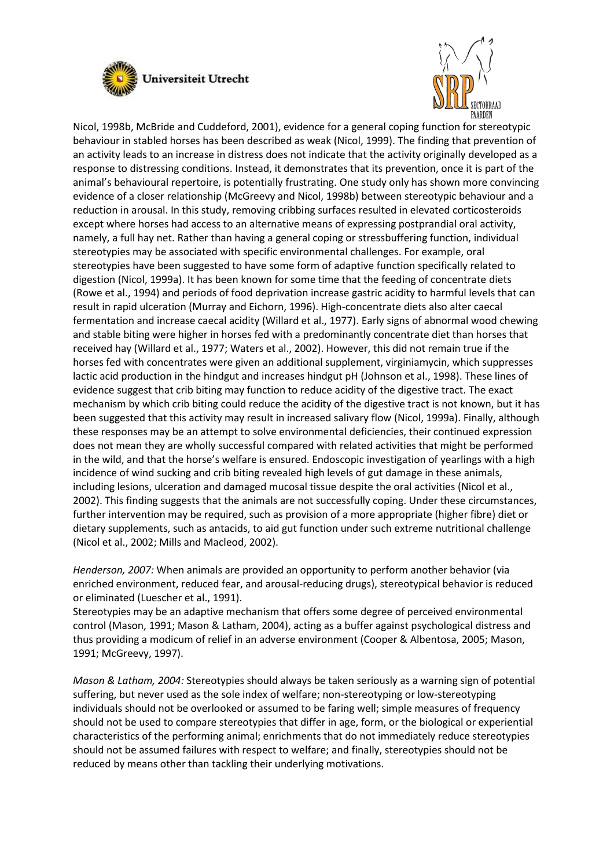



Nicol, 1998b, McBride and Cuddeford, 2001), evidence for a general coping function for stereotypic behaviour in stabled horses has been described as weak (Nicol, 1999). The finding that prevention of an activity leads to an increase in distress does not indicate that the activity originally developed as a response to distressing conditions. Instead, it demonstrates that its prevention, once it is part of the animal's behavioural repertoire, is potentially frustrating. One study only has shown more convincing evidence of a closer relationship (McGreevy and Nicol, 1998b) between stereotypic behaviour and a reduction in arousal. In this study, removing cribbing surfaces resulted in elevated corticosteroids except where horses had access to an alternative means of expressing postprandial oral activity, namely, a full hay net. Rather than having a general coping or stressbuffering function, individual stereotypies may be associated with specific environmental challenges. For example, oral stereotypies have been suggested to have some form of adaptive function specifically related to digestion (Nicol, 1999a). It has been known for some time that the feeding of concentrate diets (Rowe et al., 1994) and periods of food deprivation increase gastric acidity to harmful levels that can result in rapid ulceration (Murray and Eichorn, 1996). High-concentrate diets also alter caecal fermentation and increase caecal acidity (Willard et al., 1977). Early signs of abnormal wood chewing and stable biting were higher in horses fed with a predominantly concentrate diet than horses that received hay (Willard et al., 1977; Waters et al., 2002). However, this did not remain true if the horses fed with concentrates were given an additional supplement, virginiamycin, which suppresses lactic acid production in the hindgut and increases hindgut pH (Johnson et al., 1998). These lines of evidence suggest that crib biting may function to reduce acidity of the digestive tract. The exact mechanism by which crib biting could reduce the acidity of the digestive tract is not known, but it has been suggested that this activity may result in increased salivary flow (Nicol, 1999a). Finally, although these responses may be an attempt to solve environmental deficiencies, their continued expression does not mean they are wholly successful compared with related activities that might be performed in the wild, and that the horse's welfare is ensured. Endoscopic investigation of yearlings with a high incidence of wind sucking and crib biting revealed high levels of gut damage in these animals, including lesions, ulceration and damaged mucosal tissue despite the oral activities (Nicol et al., 2002). This finding suggests that the animals are not successfully coping. Under these circumstances, further intervention may be required, such as provision of a more appropriate (higher fibre) diet or dietary supplements, such as antacids, to aid gut function under such extreme nutritional challenge (Nicol et al., 2002; Mills and Macleod, 2002).

*Henderson, 2007:* When animals are provided an opportunity to perform another behavior (via enriched environment, reduced fear, and arousal-reducing drugs), stereotypical behavior is reduced or eliminated (Luescher et al., 1991).

Stereotypies may be an adaptive mechanism that offers some degree of perceived environmental control (Mason, 1991; Mason & Latham, 2004), acting as a buffer against psychological distress and thus providing a modicum of relief in an adverse environment (Cooper & Albentosa, 2005; Mason, 1991; McGreevy, 1997).

*Mason & Latham, 2004:* Stereotypies should always be taken seriously as a warning sign of potential suffering, but never used as the sole index of welfare; non-stereotyping or low-stereotyping individuals should not be overlooked or assumed to be faring well; simple measures of frequency should not be used to compare stereotypies that differ in age, form, or the biological or experiential characteristics of the performing animal; enrichments that do not immediately reduce stereotypies should not be assumed failures with respect to welfare; and finally, stereotypies should not be reduced by means other than tackling their underlying motivations.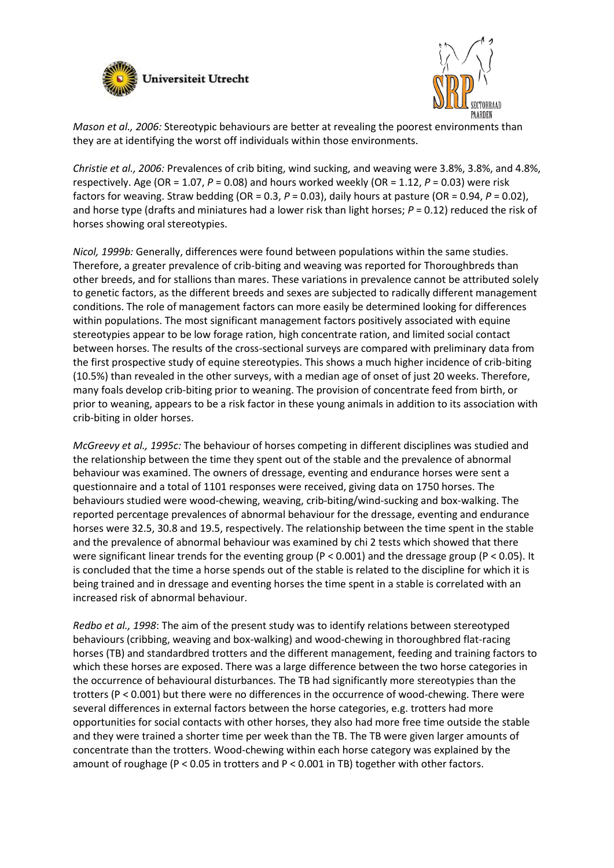



*Mason et al., 2006:* Stereotypic behaviours are better at revealing the poorest environments than they are at identifying the worst off individuals within those environments.

*Christie et al., 2006:* Prevalences of crib biting, wind sucking, and weaving were 3.8%, 3.8%, and 4.8%, respectively. Age (OR = 1.07, *P* = 0.08) and hours worked weekly (OR = 1.12, *P* = 0.03) were risk factors for weaving. Straw bedding (OR = 0.3, *P* = 0.03), daily hours at pasture (OR = 0.94, *P* = 0.02), and horse type (drafts and miniatures had a lower risk than light horses; *P* = 0.12) reduced the risk of horses showing oral stereotypies.

*Nicol, 1999b:* Generally, differences were found between populations within the same studies. Therefore, a greater prevalence of crib-biting and weaving was reported for Thoroughbreds than other breeds, and for stallions than mares. These variations in prevalence cannot be attributed solely to genetic factors, as the different breeds and sexes are subjected to radically different management conditions. The role of management factors can more easily be determined looking for differences within populations. The most significant management factors positively associated with equine stereotypies appear to be low forage ration, high concentrate ration, and limited social contact between horses. The results of the cross-sectional surveys are compared with preliminary data from the first prospective study of equine stereotypies. This shows a much higher incidence of crib-biting (10.5%) than revealed in the other surveys, with a median age of onset of just 20 weeks. Therefore, many foals develop crib-biting prior to weaning. The provision of concentrate feed from birth, or prior to weaning, appears to be a risk factor in these young animals in addition to its association with crib-biting in older horses.

*McGreevy et al., 1995c:* The behaviour of horses competing in different disciplines was studied and the relationship between the time they spent out of the stable and the prevalence of abnormal behaviour was examined. The owners of dressage, eventing and endurance horses were sent a questionnaire and a total of 1101 responses were received, giving data on 1750 horses. The behaviours studied were wood-chewing, weaving, crib-biting/wind-sucking and box-walking. The reported percentage prevalences of abnormal behaviour for the dressage, eventing and endurance horses were 32.5, 30.8 and 19.5, respectively. The relationship between the time spent in the stable and the prevalence of abnormal behaviour was examined by chi 2 tests which showed that there were significant linear trends for the eventing group (P < 0.001) and the dressage group (P < 0.05). It is concluded that the time a horse spends out of the stable is related to the discipline for which it is being trained and in dressage and eventing horses the time spent in a stable is correlated with an increased risk of abnormal behaviour.

*Redbo et al., 1998*: The aim of the present study was to identify relations between stereotyped behaviours (cribbing, weaving and box-walking) and wood-chewing in thoroughbred flat-racing horses (TB) and standardbred trotters and the different management, feeding and training factors to which these horses are exposed. There was a large difference between the two horse categories in the occurrence of behavioural disturbances. The TB had significantly more stereotypies than the trotters (P < 0.001) but there were no differences in the occurrence of wood-chewing. There were several differences in external factors between the horse categories, e.g. trotters had more opportunities for social contacts with other horses, they also had more free time outside the stable and they were trained a shorter time per week than the TB. The TB were given larger amounts of concentrate than the trotters. Wood-chewing within each horse category was explained by the amount of roughage (P < 0.05 in trotters and P < 0.001 in TB) together with other factors.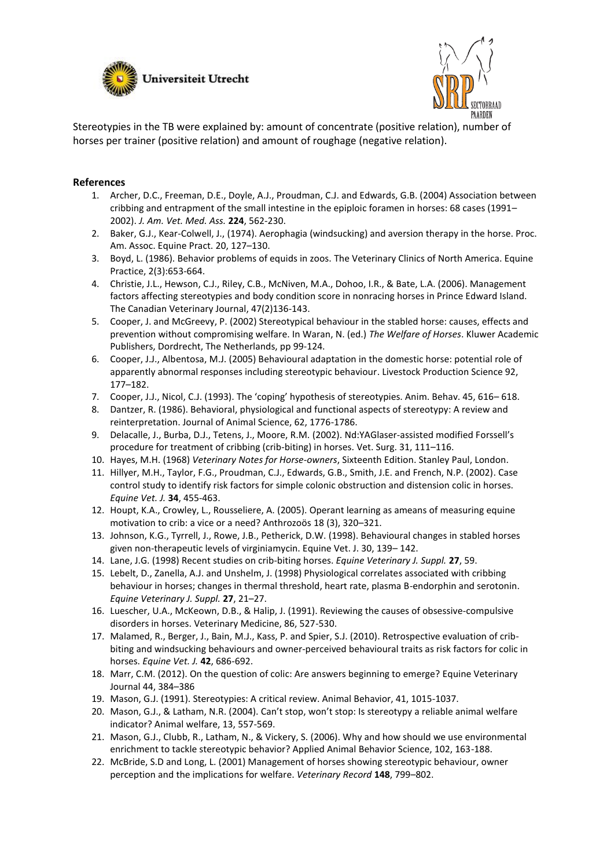



Stereotypies in the TB were explained by: amount of concentrate (positive relation), number of horses per trainer (positive relation) and amount of roughage (negative relation).

### **References**

- 1. Archer, D.C., Freeman, D.E., Doyle, A.J., Proudman, C.J. and Edwards, G.B. (2004) Association between cribbing and entrapment of the small intestine in the epiploic foramen in horses: 68 cases (1991– 2002). *J. Am. Vet. Med. Ass.* **224**, 562-230.
- 2. Baker, G.J., Kear-Colwell, J., (1974). Aerophagia (windsucking) and aversion therapy in the horse. Proc. Am. Assoc. Equine Pract. 20, 127–130.
- 3. Boyd, L. (1986). Behavior problems of equids in zoos. The Veterinary Clinics of North America. Equine Practice, 2(3):653-664.
- 4. Christie, J.L., Hewson, C.J., Riley, C.B., McNiven, M.A., Dohoo, I.R., & Bate, L.A. (2006). Management factors affecting stereotypies and body condition score in nonracing horses in Prince Edward Island. The Canadian Veterinary Journal, 47(2)136-143.
- 5. Cooper, J. and McGreevy, P. (2002) Stereotypical behaviour in the stabled horse: causes, effects and prevention without compromising welfare. In Waran, N. (ed.) *The Welfare of Horses*. Kluwer Academic Publishers, Dordrecht, The Netherlands, pp 99-124.
- 6. Cooper, J.J., Albentosa, M.J. (2005) Behavioural adaptation in the domestic horse: potential role of apparently abnormal responses including stereotypic behaviour. Livestock Production Science 92, 177–182.
- 7. Cooper, J.J., Nicol, C.J. (1993). The 'coping' hypothesis of stereotypies. Anim. Behav. 45, 616– 618.
- 8. Dantzer, R. (1986). Behavioral, physiological and functional aspects of stereotypy: A review and reinterpretation. Journal of Animal Science, 62, 1776-1786.
- 9. Delacalle, J., Burba, D.J., Tetens, J., Moore, R.M. (2002). Nd:YAGlaser-assisted modified Forssell's procedure for treatment of cribbing (crib-biting) in horses. Vet. Surg. 31, 111–116.
- 10. Hayes, M.H. (1968) *Veterinary Notes for Horse-owners*, Sixteenth Edition. Stanley Paul, London.
- 11. Hillyer, M.H., Taylor, F.G., Proudman, C.J., Edwards, G.B., Smith, J.E. and French, N.P. (2002). Case control study to identify risk factors for simple colonic obstruction and distension colic in horses. *Equine Vet. J.* **34**, 455-463.
- 12. Houpt, K.A., Crowley, L., Rousseliere, A. (2005). Operant learning as ameans of measuring equine motivation to crib: a vice or a need? Anthrozoös 18 (3), 320–321.
- 13. Johnson, K.G., Tyrrell, J., Rowe, J.B., Petherick, D.W. (1998). Behavioural changes in stabled horses given non-therapeutic levels of virginiamycin. Equine Vet. J. 30, 139– 142.
- 14. Lane, J.G. (1998) Recent studies on crib-biting horses. *Equine Veterinary J. Suppl.* **27**, 59.
- 15. Lebelt, D., Zanella, A.J. and Unshelm, J. (1998) Physiological correlates associated with cribbing behaviour in horses; changes in thermal threshold, heart rate, plasma B-endorphin and serotonin. *Equine Veterinary J. Suppl.* **27**, 21–27.
- 16. Luescher, U.A., McKeown, D.B., & Halip, J. (1991). Reviewing the causes of obsessive-compulsive disorders in horses. Veterinary Medicine, 86, 527-530.
- 17. Malamed, R., Berger, J., Bain, M.J., Kass, P. and Spier, S.J. (2010). Retrospective evaluation of cribbiting and windsucking behaviours and owner-perceived behavioural traits as risk factors for colic in horses. *Equine Vet. J.* **42**, 686-692.
- 18. Marr, C.M. (2012). On the question of colic: Are answers beginning to emerge? Equine Veterinary Journal 44, 384–386
- 19. Mason, G.J. (1991). Stereotypies: A critical review. Animal Behavior, 41, 1015-1037.
- 20. Mason, G.J., & Latham, N.R. (2004). Can't stop, won't stop: Is stereotypy a reliable animal welfare indicator? Animal welfare, 13, 557-569.
- 21. Mason, G.J., Clubb, R., Latham, N., & Vickery, S. (2006). Why and how should we use environmental enrichment to tackle stereotypic behavior? Applied Animal Behavior Science, 102, 163-188.
- 22. McBride, S.D and Long, L. (2001) Management of horses showing stereotypic behaviour, owner perception and the implications for welfare. *Veterinary Record* **148**, 799–802.